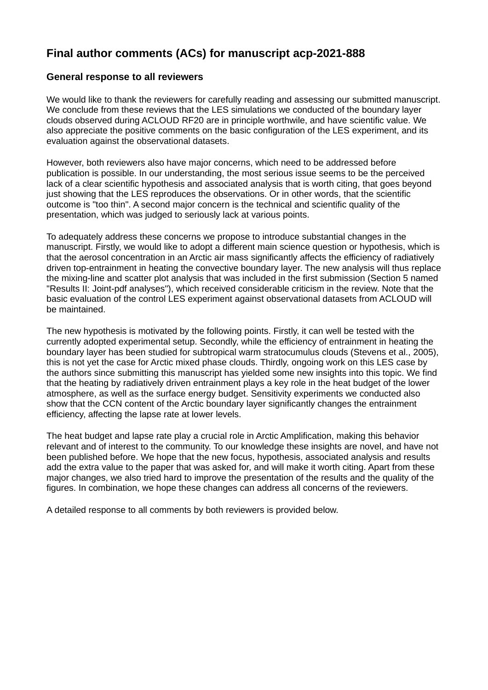# **Final author comments (ACs) for manuscript acp-2021-888**

# **General response to all reviewers**

We would like to thank the reviewers for carefully reading and assessing our submitted manuscript. We conclude from these reviews that the LES simulations we conducted of the boundary layer clouds observed during ACLOUD RF20 are in principle worthwile, and have scientific value. We also appreciate the positive comments on the basic configuration of the LES experiment, and its evaluation against the observational datasets.

However, both reviewers also have major concerns, which need to be addressed before publication is possible. In our understanding, the most serious issue seems to be the perceived lack of a clear scientific hypothesis and associated analysis that is worth citing, that goes beyond just showing that the LES reproduces the observations. Or in other words, that the scientific outcome is "too thin". A second major concern is the technical and scientific quality of the presentation, which was judged to seriously lack at various points.

To adequately address these concerns we propose to introduce substantial changes in the manuscript. Firstly, we would like to adopt a different main science question or hypothesis, which is that the aerosol concentration in an Arctic air mass significantly affects the efficiency of radiatively driven top-entrainment in heating the convective boundary layer. The new analysis will thus replace the mixing-line and scatter plot analysis that was included in the first submission (Section 5 named "Results II: Joint-pdf analyses"), which received considerable criticism in the review. Note that the basic evaluation of the control LES experiment against observational datasets from ACLOUD will be maintained.

The new hypothesis is motivated by the following points. Firstly, it can well be tested with the currently adopted experimental setup. Secondly, while the efficiency of entrainment in heating the boundary layer has been studied for subtropical warm stratocumulus clouds (Stevens et al., 2005), this is not yet the case for Arctic mixed phase clouds. Thirdly, ongoing work on this LES case by the authors since submitting this manuscript has yielded some new insights into this topic. We find that the heating by radiatively driven entrainment plays a key role in the heat budget of the lower atmosphere, as well as the surface energy budget. Sensitivity experiments we conducted also show that the CCN content of the Arctic boundary layer significantly changes the entrainment efficiency, affecting the lapse rate at lower levels.

The heat budget and lapse rate play a crucial role in Arctic Amplification, making this behavior relevant and of interest to the community. To our knowledge these insights are novel, and have not been published before. We hope that the new focus, hypothesis, associated analysis and results add the extra value to the paper that was asked for, and will make it worth citing. Apart from these major changes, we also tried hard to improve the presentation of the results and the quality of the figures. In combination, we hope these changes can address all concerns of the reviewers.

A detailed response to all comments by both reviewers is provided below.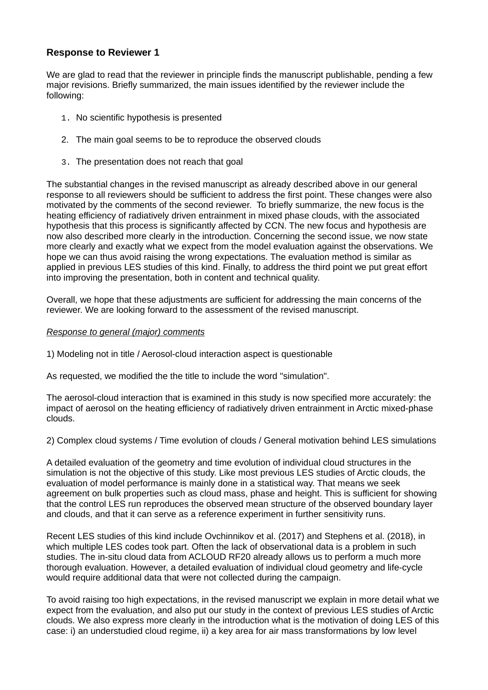# **Response to Reviewer 1**

We are glad to read that the reviewer in principle finds the manuscript publishable, pending a few major revisions. Briefly summarized, the main issues identified by the reviewer include the following:

- 1. No scientific hypothesis is presented
- 2. The main goal seems to be to reproduce the observed clouds
- 3. The presentation does not reach that goal

The substantial changes in the revised manuscript as already described above in our general response to all reviewers should be sufficient to address the first point. These changes were also motivated by the comments of the second reviewer. To briefly summarize, the new focus is the heating efficiency of radiatively driven entrainment in mixed phase clouds, with the associated hypothesis that this process is significantly affected by CCN. The new focus and hypothesis are now also described more clearly in the introduction. Concerning the second issue, we now state more clearly and exactly what we expect from the model evaluation against the observations. We hope we can thus avoid raising the wrong expectations. The evaluation method is similar as applied in previous LES studies of this kind. Finally, to address the third point we put great effort into improving the presentation, both in content and technical quality.

Overall, we hope that these adjustments are sufficient for addressing the main concerns of the reviewer. We are looking forward to the assessment of the revised manuscript.

#### *Response to general (major) comments*

1) Modeling not in title / Aerosol-cloud interaction aspect is questionable

As requested, we modified the the title to include the word "simulation".

The aerosol-cloud interaction that is examined in this study is now specified more accurately: the impact of aerosol on the heating efficiency of radiatively driven entrainment in Arctic mixed-phase clouds.

2) Complex cloud systems / Time evolution of clouds / General motivation behind LES simulations

A detailed evaluation of the geometry and time evolution of individual cloud structures in the simulation is not the objective of this study. Like most previous LES studies of Arctic clouds, the evaluation of model performance is mainly done in a statistical way. That means we seek agreement on bulk properties such as cloud mass, phase and height. This is sufficient for showing that the control LES run reproduces the observed mean structure of the observed boundary layer and clouds, and that it can serve as a reference experiment in further sensitivity runs.

Recent LES studies of this kind include Ovchinnikov et al. (2017) and Stephens et al. (2018), in which multiple LES codes took part. Often the lack of observational data is a problem in such studies. The in-situ cloud data from ACLOUD RF20 already allows us to perform a much more thorough evaluation. However, a detailed evaluation of individual cloud geometry and life-cycle would require additional data that were not collected during the campaign.

To avoid raising too high expectations, in the revised manuscript we explain in more detail what we expect from the evaluation, and also put our study in the context of previous LES studies of Arctic clouds. We also express more clearly in the introduction what is the motivation of doing LES of this case: i) an understudied cloud regime, ii) a key area for air mass transformations by low level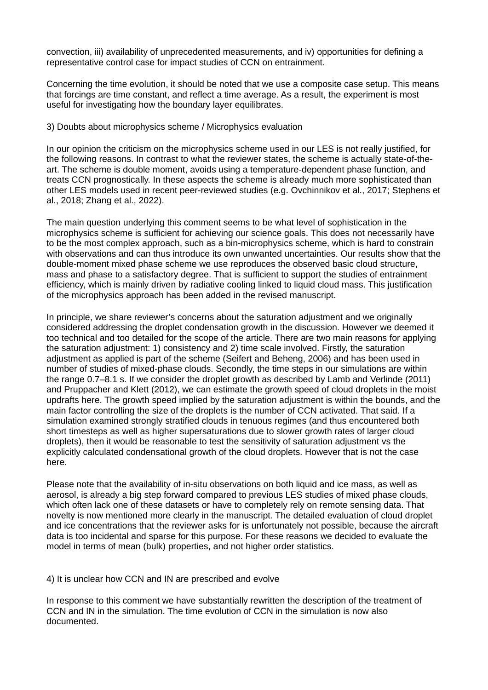convection, iii) availability of unprecedented measurements, and iv) opportunities for defining a representative control case for impact studies of CCN on entrainment.

Concerning the time evolution, it should be noted that we use a composite case setup. This means that forcings are time constant, and reflect a time average. As a result, the experiment is most useful for investigating how the boundary layer equilibrates.

### 3) Doubts about microphysics scheme / Microphysics evaluation

In our opinion the criticism on the microphysics scheme used in our LES is not really justified, for the following reasons. In contrast to what the reviewer states, the scheme is actually state-of-theart. The scheme is double moment, avoids using a temperature-dependent phase function, and treats CCN prognostically. In these aspects the scheme is already much more sophisticated than other LES models used in recent peer-reviewed studies (e.g. Ovchinnikov et al., 2017; Stephens et al., 2018; Zhang et al., 2022).

The main question underlying this comment seems to be what level of sophistication in the microphysics scheme is sufficient for achieving our science goals. This does not necessarily have to be the most complex approach, such as a bin-microphysics scheme, which is hard to constrain with observations and can thus introduce its own unwanted uncertainties. Our results show that the double-moment mixed phase scheme we use reproduces the observed basic cloud structure, mass and phase to a satisfactory degree. That is sufficient to support the studies of entrainment efficiency, which is mainly driven by radiative cooling linked to liquid cloud mass. This justification of the microphysics approach has been added in the revised manuscript.

In principle, we share reviewer's concerns about the saturation adjustment and we originally considered addressing the droplet condensation growth in the discussion. However we deemed it too technical and too detailed for the scope of the article. There are two main reasons for applying the saturation adjustment: 1) consistency and 2) time scale involved. Firstly, the saturation adjustment as applied is part of the scheme (Seifert and Beheng, 2006) and has been used in number of studies of mixed-phase clouds. Secondly, the time steps in our simulations are within the range 0.7–8.1 s. If we consider the droplet growth as described by Lamb and Verlinde (2011) and Pruppacher and Klett (2012), we can estimate the growth speed of cloud droplets in the moist updrafts here. The growth speed implied by the saturation adjustment is within the bounds, and the main factor controlling the size of the droplets is the number of CCN activated. That said. If a simulation examined strongly stratified clouds in tenuous regimes (and thus encountered both short timesteps as well as higher supersaturations due to slower growth rates of larger cloud droplets), then it would be reasonable to test the sensitivity of saturation adjustment vs the explicitly calculated condensational growth of the cloud droplets. However that is not the case here.

Please note that the availability of in-situ observations on both liquid and ice mass, as well as aerosol, is already a big step forward compared to previous LES studies of mixed phase clouds, which often lack one of these datasets or have to completely rely on remote sensing data. That novelty is now mentioned more clearly in the manuscript. The detailed evaluation of cloud droplet and ice concentrations that the reviewer asks for is unfortunately not possible, because the aircraft data is too incidental and sparse for this purpose. For these reasons we decided to evaluate the model in terms of mean (bulk) properties, and not higher order statistics.

#### 4) It is unclear how CCN and IN are prescribed and evolve

In response to this comment we have substantially rewritten the description of the treatment of CCN and IN in the simulation. The time evolution of CCN in the simulation is now also documented.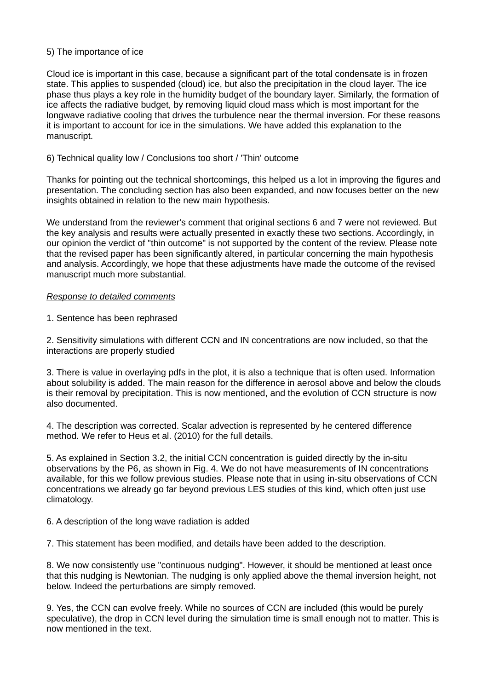## 5) The importance of ice

Cloud ice is important in this case, because a significant part of the total condensate is in frozen state. This applies to suspended (cloud) ice, but also the precipitation in the cloud layer. The ice phase thus plays a key role in the humidity budget of the boundary layer. Similarly, the formation of ice affects the radiative budget, by removing liquid cloud mass which is most important for the longwave radiative cooling that drives the turbulence near the thermal inversion. For these reasons it is important to account for ice in the simulations. We have added this explanation to the manuscript.

## 6) Technical quality low / Conclusions too short / 'Thin' outcome

Thanks for pointing out the technical shortcomings, this helped us a lot in improving the figures and presentation. The concluding section has also been expanded, and now focuses better on the new insights obtained in relation to the new main hypothesis.

We understand from the reviewer's comment that original sections 6 and 7 were not reviewed. But the key analysis and results were actually presented in exactly these two sections. Accordingly, in our opinion the verdict of "thin outcome" is not supported by the content of the review. Please note that the revised paper has been significantly altered, in particular concerning the main hypothesis and analysis. Accordingly, we hope that these adjustments have made the outcome of the revised manuscript much more substantial.

## *Response to detailed comments*

1. Sentence has been rephrased

2. Sensitivity simulations with different CCN and IN concentrations are now included, so that the interactions are properly studied

3. There is value in overlaying pdfs in the plot, it is also a technique that is often used. Information about solubility is added. The main reason for the difference in aerosol above and below the clouds is their removal by precipitation. This is now mentioned, and the evolution of CCN structure is now also documented.

4. The description was corrected. Scalar advection is represented by he centered difference method. We refer to Heus et al. (2010) for the full details.

5. As explained in Section 3.2, the initial CCN concentration is guided directly by the in-situ observations by the P6, as shown in Fig. 4. We do not have measurements of IN concentrations available, for this we follow previous studies. Please note that in using in-situ observations of CCN concentrations we already go far beyond previous LES studies of this kind, which often just use climatology.

#### 6. A description of the long wave radiation is added

7. This statement has been modified, and details have been added to the description.

8. We now consistently use "continuous nudging". However, it should be mentioned at least once that this nudging is Newtonian. The nudging is only applied above the themal inversion height, not below. Indeed the perturbations are simply removed.

9. Yes, the CCN can evolve freely. While no sources of CCN are included (this would be purely speculative), the drop in CCN level during the simulation time is small enough not to matter. This is now mentioned in the text.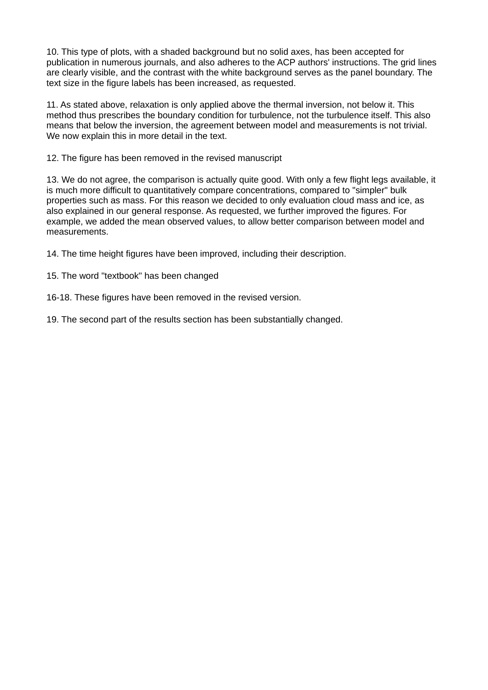10. This type of plots, with a shaded background but no solid axes, has been accepted for publication in numerous journals, and also adheres to the ACP authors' instructions. The grid lines are clearly visible, and the contrast with the white background serves as the panel boundary. The text size in the figure labels has been increased, as requested.

11. As stated above, relaxation is only applied above the thermal inversion, not below it. This method thus prescribes the boundary condition for turbulence, not the turbulence itself. This also means that below the inversion, the agreement between model and measurements is not trivial. We now explain this in more detail in the text.

12. The figure has been removed in the revised manuscript

13. We do not agree, the comparison is actually quite good. With only a few flight legs available, it is much more difficult to quantitatively compare concentrations, compared to "simpler" bulk properties such as mass. For this reason we decided to only evaluation cloud mass and ice, as also explained in our general response. As requested, we further improved the figures. For example, we added the mean observed values, to allow better comparison between model and measurements.

14. The time height figures have been improved, including their description.

15. The word "textbook" has been changed

16-18. These figures have been removed in the revised version.

19. The second part of the results section has been substantially changed.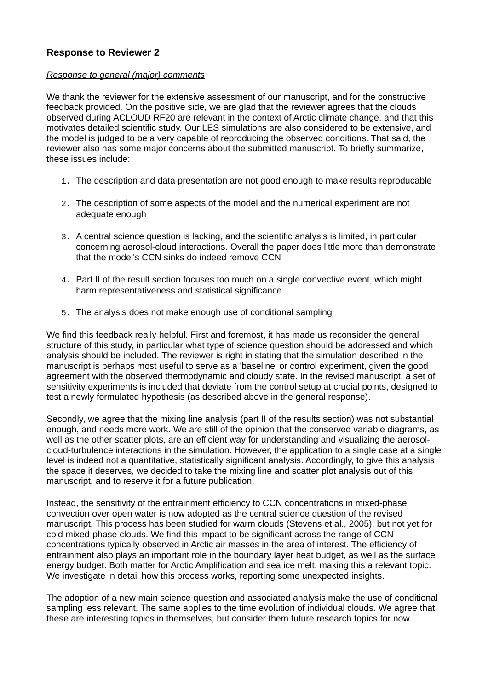# **Response to Reviewer 2**

### *Response to general (major) comments*

We thank the reviewer for the extensive assessment of our manuscript, and for the constructive feedback provided. On the positive side, we are glad that the reviewer agrees that the clouds observed during ACLOUD RF20 are relevant in the context of Arctic climate change, and that this motivates detailed scientific study. Our LES simulations are also considered to be extensive, and the model is judged to be a very capable of reproducing the observed conditions. That said, the reviewer also has some major concerns about the submitted manuscript. To briefly summarize, these issues include:

- 1. The description and data presentation are not good enough to make results reproducable
- 2. The description of some aspects of the model and the numerical experiment are not adequate enough
- 3. A central science question is lacking, and the scientific analysis is limited, in particular concerning aerosol-cloud interactions. Overall the paper does little more than demonstrate that the model's CCN sinks do indeed remove CCN
- 4. Part II of the result section focuses too much on a single convective event, which might harm representativeness and statistical significance.
- 5. The analysis does not make enough use of conditional sampling

We find this feedback really helpful. First and foremost, it has made us reconsider the general structure of this study, in particular what type of science question should be addressed and which analysis should be included. The reviewer is right in stating that the simulation described in the manuscript is perhaps most useful to serve as a 'baseline' or control experiment, given the good agreement with the observed thermodynamic and cloudy state. In the revised manuscript, a set of sensitivity experiments is included that deviate from the control setup at crucial points, designed to test a newly formulated hypothesis (as described above in the general response).

Secondly, we agree that the mixing line analysis (part II of the results section) was not substantial enough, and needs more work. We are still of the opinion that the conserved variable diagrams, as well as the other scatter plots, are an efficient way for understanding and visualizing the aerosolcloud-turbulence interactions in the simulation. However, the application to a single case at a single level is indeed not a quantitative, statistically significant analysis. Accordingly, to give this analysis the space it deserves, we decided to take the mixing line and scatter plot analysis out of this manuscript, and to reserve it for a future publication.

Instead, the sensitivity of the entrainment efficiency to CCN concentrations in mixed-phase convection over open water is now adopted as the central science question of the revised manuscript. This process has been studied for warm clouds (Stevens et al., 2005), but not yet for cold mixed-phase clouds. We find this impact to be significant across the range of CCN concentrations typically observed in Arctic air masses in the area of interest. The efficiency of entrainment also plays an important role in the boundary layer heat budget, as well as the surface energy budget. Both matter for Arctic Amplification and sea ice melt, making this a relevant topic. We investigate in detail how this process works, reporting some unexpected insights.

The adoption of a new main science question and associated analysis make the use of conditional sampling less relevant. The same applies to the time evolution of individual clouds. We agree that these are interesting topics in themselves, but consider them future research topics for now.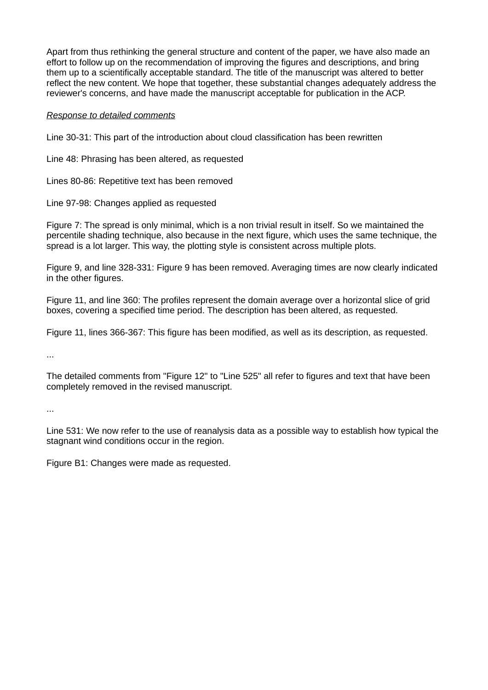Apart from thus rethinking the general structure and content of the paper, we have also made an effort to follow up on the recommendation of improving the figures and descriptions, and bring them up to a scientifically acceptable standard. The title of the manuscript was altered to better reflect the new content. We hope that together, these substantial changes adequately address the reviewer's concerns, and have made the manuscript acceptable for publication in the ACP.

## *Response to detailed comments*

Line 30-31: This part of the introduction about cloud classification has been rewritten

Line 48: Phrasing has been altered, as requested

Lines 80-86: Repetitive text has been removed

Line 97-98: Changes applied as requested

Figure 7: The spread is only minimal, which is a non trivial result in itself. So we maintained the percentile shading technique, also because in the next figure, which uses the same technique, the spread is a lot larger. This way, the plotting style is consistent across multiple plots.

Figure 9, and line 328-331: Figure 9 has been removed. Averaging times are now clearly indicated in the other figures.

Figure 11, and line 360: The profiles represent the domain average over a horizontal slice of grid boxes, covering a specified time period. The description has been altered, as requested.

Figure 11, lines 366-367: This figure has been modified, as well as its description, as requested.

...

The detailed comments from "Figure 12" to "Line 525" all refer to figures and text that have been completely removed in the revised manuscript.

...

Line 531: We now refer to the use of reanalysis data as a possible way to establish how typical the stagnant wind conditions occur in the region.

Figure B1: Changes were made as requested.